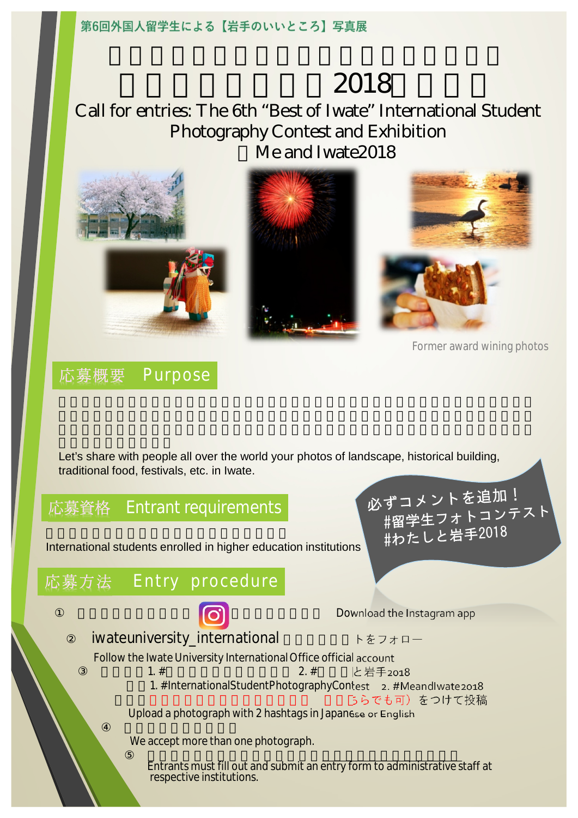# **2018**

## **Call for entries: The 6th "Best of Iwate" International Student Photography Contest and Exhibition** Me and Iwate2018







Former award wining photos

#### 応募概要 Purpose

Let's share with people all over the world your photos of landscape, historical building, traditional food, festivals, etc. in Iwate.

#### 応募資格 Entrant requirements

International students enrolled in higher education institutions

#### Entry procedure 応募方法



必ずコメントを追加! すコメノトと追加・<br>#留学生フォトコンテスト<br>#留学: - 出手2018 #笛子エング:<br>#わたしと岩手2018

Download the Instagram app

### iwateuniversity\_international トをフォロー

Follow the Iwate University International Office official account

1. # 2. # と岩手2018

1. #InternationalStudentPhotographyContest 2. #MeandIwate2018

うらでも可)をつけて投稿

Upload a photograph with 2 hashtags in Japanese or English

We accept more than one photograph.

⑤ 応募者は別紙応募様式を記入後、所属大学等の担当者に送付 Entrants must fill out and submit an entry form to administrative staff at respective institutions.